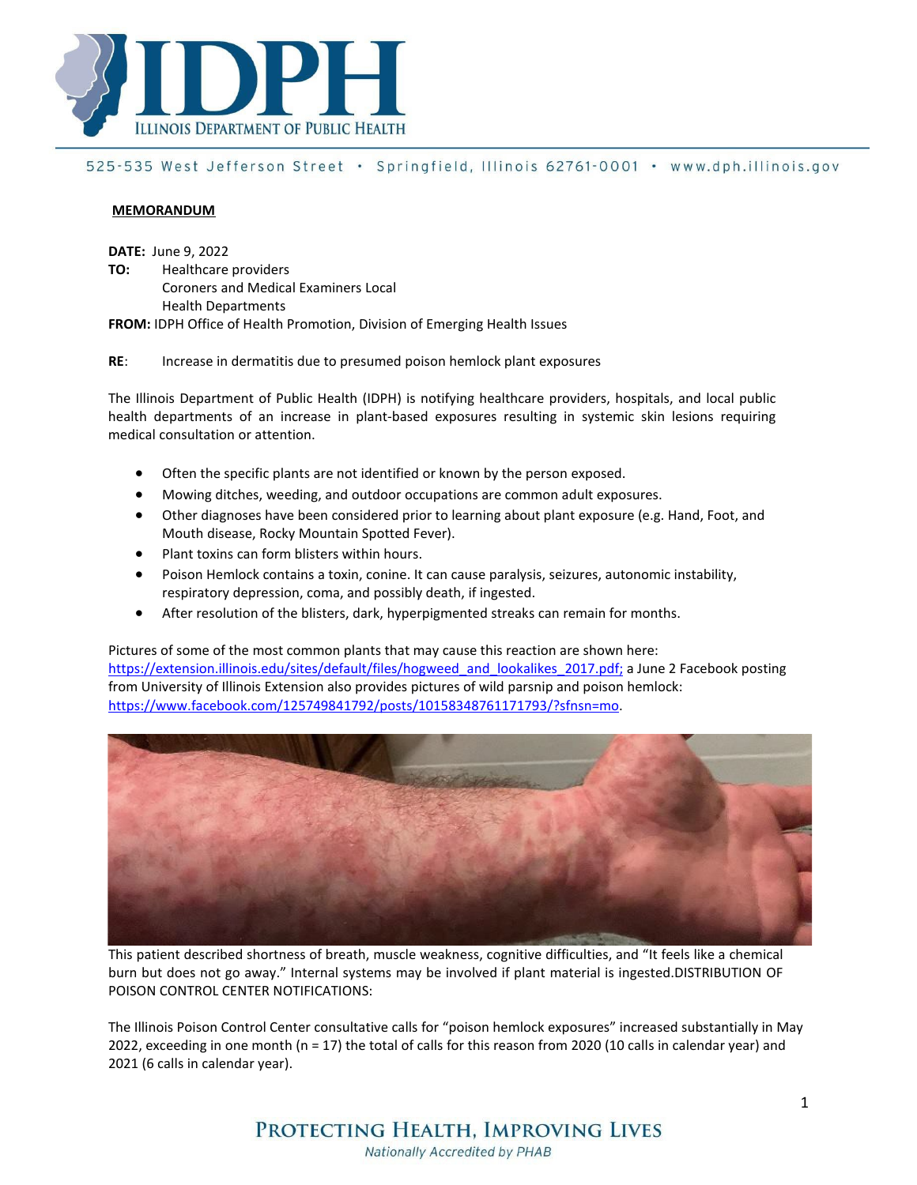

# 525-535 West Jefferson Street · Springfield, Illinois 62761-0001 · www.dph.illinois.gov

#### **MEMORANDUM**

**DATE:** June 9, 2022

- **TO:** Healthcare providers Coroners and Medical Examiners Local
	- Health Departments

**FROM:** IDPH Office of Health Promotion, Division of Emerging Health Issues

#### **RE**: Increase in dermatitis due to presumed poison hemlock plant exposures

The Illinois Department of Public Health (IDPH) is notifying healthcare providers, hospitals, and local public health departments of an increase in plant-based exposures resulting in systemic skin lesions requiring medical consultation or attention.

- Often the specific plants are not identified or known by the person exposed.
- Mowing ditches, weeding, and outdoor occupations are common adult exposures.
- Other diagnoses have been considered prior to learning about plant exposure (e.g. Hand, Foot, and Mouth disease, Rocky Mountain Spotted Fever).
- Plant toxins can form blisters within hours.
- Poison Hemlock contains a toxin, conine. It can cause paralysis, seizures, autonomic instability, respiratory depression, coma, and possibly death, if ingested.
- After resolution of the blisters, dark, hyperpigmented streaks can remain for months.

Pictures of some of the most common plants that may cause this reaction are shown here: https://extension.illinois.edu/sites/default/files/hogweed\_and\_lookalikes\_2017.pdf; a June 2 Facebook posting from University of Illinois Extension also provides pictures of wild parsnip and poison hemlock: https:/[/www.facebook.com/125749841792/posts/10158348761171793/?sfnsn=mo.](http://www.facebook.com/125749841792/posts/10158348761171793/?sfnsn=mo)



This patient described shortness of breath, muscle weakness, cognitive difficulties, and "It feels like a chemical burn but does not go away." Internal systems may be involved if plant material is ingested.DISTRIBUTION OF POISON CONTROL CENTER NOTIFICATIONS:

The Illinois Poison Control Center consultative calls for "poison hemlock exposures" increased substantially in May 2022, exceeding in one month (n = 17) the total of calls for this reason from 2020 (10 calls in calendar year) and 2021 (6 calls in calendar year).